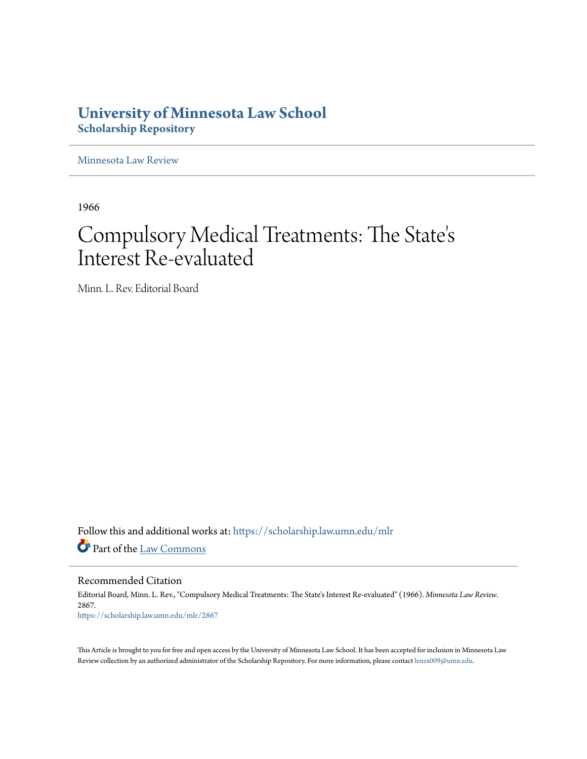# **University of Minnesota Law School [Scholarship Repository](https://scholarship.law.umn.edu?utm_source=scholarship.law.umn.edu%2Fmlr%2F2867&utm_medium=PDF&utm_campaign=PDFCoverPages)**

[Minnesota Law Review](https://scholarship.law.umn.edu/mlr?utm_source=scholarship.law.umn.edu%2Fmlr%2F2867&utm_medium=PDF&utm_campaign=PDFCoverPages)

1966

# Compulsory Medical Treatments: The State ' s Interest Re-evaluated

Minn. L. Rev. Editorial Board

Follow this and additional works at: [https://scholarship.law.umn.edu/mlr](https://scholarship.law.umn.edu/mlr?utm_source=scholarship.law.umn.edu%2Fmlr%2F2867&utm_medium=PDF&utm_campaign=PDFCoverPages) Part of the [Law Commons](http://network.bepress.com/hgg/discipline/578?utm_source=scholarship.law.umn.edu%2Fmlr%2F2867&utm_medium=PDF&utm_campaign=PDFCoverPages)

Recommended Citation Editorial Board, Minn. L. Rev., "Compulsory Medical Treatments: The State's Interest Re-evaluated" (1966). *Minnesota Law Review*. 2867. [https://scholarship.law.umn.edu/mlr/2867](https://scholarship.law.umn.edu/mlr/2867?utm_source=scholarship.law.umn.edu%2Fmlr%2F2867&utm_medium=PDF&utm_campaign=PDFCoverPages)

This Article is brought to you for free and open access by the University of Minnesota Law School. It has been accepted for inclusion in Minnesota Law Review collection by an authorized administrator of the Scholarship Repository. For more information, please contact [lenzx009@umn.edu.](mailto:lenzx009@umn.edu)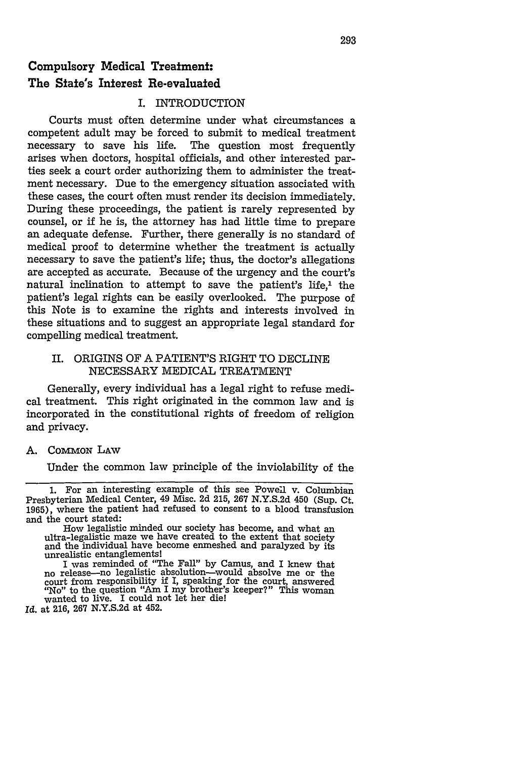# **Compulsory Medical Treatment: The State's Interest Re-evaluated**

#### I. INTRODUCTION

Courts must often determine under what circumstances a competent adult may be forced to submit to medical treatment necessary to save his life. The question most frequently arises when doctors, hospital officials, and other interested parties seek a court order authorizing them to administer the treatment necessary. Due to the emergency situation associated with these cases, the court often must render its decision immediately. During these proceedings, the patient is rarely represented by counsel, or if he is, the attorney has had little time to prepare an adequate defense. Further, there generally is no standard of medical proof to determine whether the treatment is actually necessary to save the patient's life; thus, the doctor's allegations are accepted as accurate. Because of the urgency and the court's natural inclination to attempt to save the patient's life,<sup>1</sup> the patient's legal rights can be easily overlooked. The purpose of this Note is to examine the rights and interests involved in these situations and to suggest an appropriate legal standard for compelling medical treatment.

### II. ORIGINS OF A PATIENT'S RIGHT TO DECLINE NECESSARY MEDICAL TREATMENT

Generally, every individual has a legal right to refuse medical treatment. This right originated in the common law and is incorporated in the constitutional rights of freedom of religion and privacy.

**A.** COMMON LAW

Under the common law principle of the inviolability of the

*Id.* at 216, 267 N.Y.S.2d at 452.

<sup>1.</sup> For an interesting example of this see Powell v. Columbian Presbyterian Medical Center, 49 Misc. 2d 215, 267 N.Y.S.2d 450 (Sup. Ct. 1965), where the patient had refused to consent to a blood transfusion and the court stated:

How legalistic minded our society has become, and what an ultra-legalistic maze we have created to the extent that society and the individual have become enmeshed and paralyzed by its unrealistic entanglements!

I was reminded of "The Fall" by Camus, and I knew that no release—no legalistic absolution—would absolve me or the<br>court from responsibility if I, speaking for the court, answered<br>"No" to the question "Am I my brother's keeper?" This woman<br>wanted to live. I could not let her d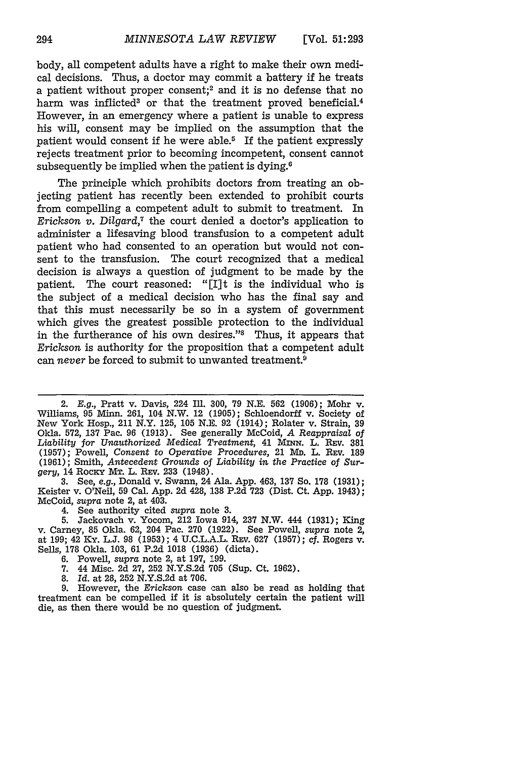body, all competent adults have a right to make their own medical decisions. Thus, a doctor may commit a battery if he treats a patient without proper consent;<sup>2</sup> and it is no defense that no harm was inflicted<sup>3</sup> or that the treatment proved beneficial.<sup>4</sup> However, in an emergency where a patient is unable to express his will, consent may be implied on the assumption that the patient would consent if he were able.<sup>5</sup> If the patient expressly rejects treatment prior to becoming incompetent, consent cannot subsequently be implied when the patient is dying. $6$ 

The principle which prohibits doctors from treating an objecting patient has recently been extended to prohibit courts from compelling a competent adult to submit to treatment. In *Erickson v. Dilgard,7* the court denied a doctor's application to administer a lifesaving blood transfusion to a competent adult patient who had consented to an operation but would not consent to the transfusion. The court recognized that a medical decision is always a question of judgment to be made by the patient. The court reasoned: "[I]t is the individual who is the subject of a medical decision who has the final say and that this must necessarily be so in a system of government which gives the greatest possible protection to the individual in the furtherance of his own desires." $8$  Thus, it appears that *Erickson* is authority for the proposition that a competent adult can *never* be forced to submit to unwanted treatment.<sup>9</sup>

2. *E.g.,* Pratt v. Davis, 224 Ill. 300, **79** N.E. 562 (1906); Mohr v. Williams, 95 Minn. 261, 104 N.W. 12 (1905); Schloendorff v. Society of New York Hosp., 211 N.Y. 125, 105 N.E. 92 (1914); Rolater v. Strain, 39 Okla. 572, **137** Pac. 96 (1913). See generally McCoid, *A Reappraisal of* Liability for Unauthorized Medical Treatment, 41 MINN. L. REV. 381 (1957); Powell, *Consent to Operative Procedures,* 21 **Mm.** L. **REV.** 189 (1961); Smith, *Antecedent Grounds* of *Liability in the Practice of Surgery,* 14 RocKy MT. L. REV. **233** (1948).

**3.** See, *e.g.,* Donald v. Swann, 24 Ala. App. 463, **137** So. 178 (1931); Keister v. O'Neil, 59 Cal. App. 2d 428, **138** P.2d **723** (Dist. Ct. App. 1943); McCoid, *supra* note 2, at 403.

4. See authority cited *supra* note **3.**

**5.** Jackovach v. Yocom, 212 Iowa 914, **237** N.W. 444 (1931); King v. Carney, 85 Okla. 62, 204 Pac. **270** (1922). See Powell, *supra* note 2, at 199; 42 Ky. L.J. 98 (1953); 4 U.C.L.A.L. Rev. 627 (1957); cf. Rogers v. Sells, **178** Okla. 103, 61 P.2d 1018 (1936) (dicta).

- 6. Powell, *supra* note 2, at 197, 199.
- **7.** 44 Misc. 2d **27,** 252 N.Y.S.2d **705** (Sup. Ct. 1962).
- 8. *Id.* at 28, 252 N.Y.S.2d at 706.

9. However, the *Erickson* case can also be read as holding that treatment can be compelled if it is absolutely certain the patient will die, as then there would be no question of judgment.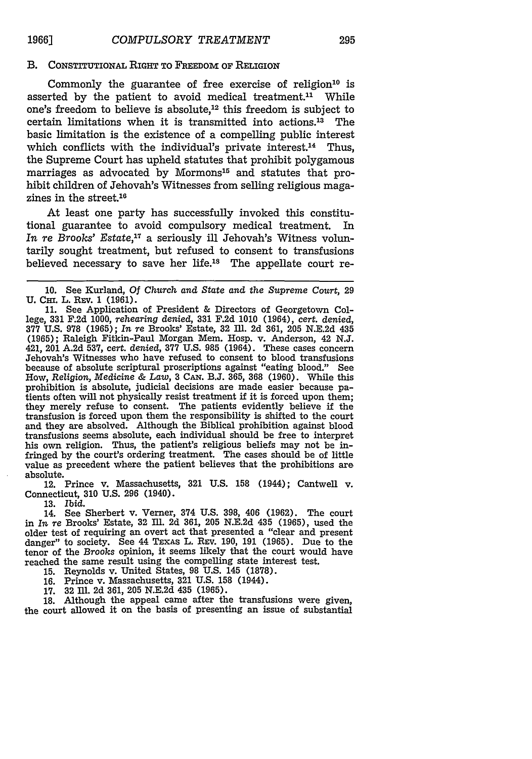### B. CONSTITUTIONAL RIGHT TO FREEDOM OF RELIGION

Commonly the guarantee of free exercise of religion $10$  is asserted by the patient to avoid medical treatment.<sup>11</sup> While one's freedom to believe is absolute, $12$  this freedom is subject to certain limitations when it is transmitted into actions.<sup>13</sup> The basic limitation is the existence of a compelling public interest which conflicts with the individual's private interest.<sup>14</sup> Thus, the Supreme Court has upheld statutes that prohibit polygamous marriages as advocated by Mormons<sup>15</sup> and statutes that prohibit children of Jehovah's Witnesses from selling religious magazines in the street. $16$ 

At least one party has successfully invoked this constitutional guarantee to avoid compulsory medical treatment. *In re Brooks' Estate,'7* a seriously ill Jehovah's Witness voluntarily sought treatment, but refused to consent to transfusions believed necessary to save her life.<sup>18</sup> The appellate court re-

12. Prince v. Massachusetts, **321** U.S. 158 (1944); Cantwell v. Connecticut, **310** U.S. 296 (1940).

13. Ibid.

14. See Sherbert v. Verner, 374 U.S. 398, 406 (1962). The court in *in re* Brooks' Estate, **32** Ill. 2d 361, **205** N.E.2d 435 (1965), used the older test of requiring an overt act that presented a "clear and present danger" to society. See 44 TEXAS L. **REV.** 190, 191 (1965). Due to the tenor of the Brooks opinion, it seems likely that the court would have reached the same result using the compelling state interest test.

**15.** Reynolds v. United States, 98 U.S. 145 (1878).

16. Prince v. Massachusetts, 321 U.S. **158** (1944). **17. 32** Ill. 2d 361, 205 N.E.2d 435 (1965).

18. Although the appeal came after the transfusions were given, the court allowed it on the basis of presenting an issue of substantial

<sup>10.</sup> See Kurland, *Of Church and State and the Supreme Court,* <sup>29</sup> **U.** CHr. L. REv. 1 **(1961).**

**<sup>11.</sup>** See Application of President & Directors of Georgetown College, **331 F.2d 1000,** *rehearing denied,* **331 F.2d 1010** (1964), cert. *denied,* **377 U.S. 978 (1965);** *In* re Brooks' Estate, **32 Ill. 2d 361, 205 N.E.2d** 435 **(1965);** Raleigh Fitkin-Paul Morgan Mem. Hosp. v. Anderson, 42 **N.J.** 421, 201 **A.2d 537,** cert. *denied,* **377 U.S. 985** (1964). These cases concern Jehovah's Witnesses who have refused to consent to blood transfusions because of absolute scriptural proscriptions against "eating blood." See How, *Religion, Medicine & Law,* **3 CAw. B.J. 365, 368 (1960).** While this prohibition is absolute, judicial decisions are made easier because patients often will not physically resist treatment if it is forced upon them; they merely refuse to consent. The patients evidently believe if the transfusion is forced upon them the responsibility is shifted to the court and they are absolved. Although the Biblical prohibition against blood transfusions seems absolute, each individual should be free to interpret his own religion. Thus, the patient's religious beliefs may not be infringed by the court's ordering treatment. The cases should be of little value as precedent where the patient believes that the prohibitions are absolute.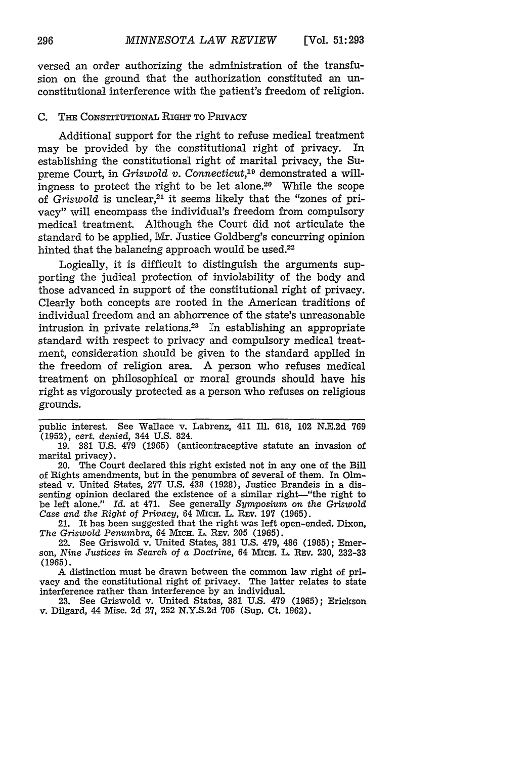versed an order authorizing the administration of the transfusion on the ground that the authorization constituted an unconstitutional interference with the patient's freedom of religion.

#### C. **THE** CONSTITUTIONAL RIGHT TO PRIVACY

Additional support for the right to refuse medical treatment may be provided by the constitutional right of privacy. In establishing the constitutional right of marital privacy, the Supreme Court, in *Griswold v. Connecticut*,<sup>19</sup> demonstrated a willingness to protect the right to be let alone.20 While the scope of *Griswold* is unclear,<sup>21</sup> it seems likely that the "zones of privacy" will encompass the individual's freedom from compulsory medical treatment. Although the Court did not articulate the standard to be applied, Mr. Justice Goldberg's concurring opinion hinted that the balancing approach would be used.<sup>22</sup>

Logically, it is difficult to distinguish the arguments supporting the judical protection of inviolability of the body and those advanced in support of the constitutional right of privacy. Clearly both concepts are rooted in the American traditions of individual freedom and an abhorrence of the state's unreasonable intrusion in private relations.<sup>23</sup> In establishing an appropriate standard with respect to privacy and compulsory medical treatment, consideration should be given to the standard applied in the freedom of religion area. A person who refuses medical treatment on philosophical or moral grounds should have his right as vigorously protected as a person who refuses on religious grounds.

20. The Court declared this right existed not in any one of the Bill of Rights amendments, but in the penumbra of several of them. In Olmstead v. United States, 277 U.S. 438 (1928), Justice Brandeis in a dissenting opinion declared the existence of a similar right-"the right to be left alone." Id. at 471. See generally *Symposium* on the Griswold *Case and the Right of Privacy,* 64 MIcH. L. REv. 197 (1965).

21. It has been suggested that the right was left open-ended. Dixon, The Griswold Penumbra, 64 MICH. L. REV. 205 (1965).

22. See Griswold v. United States, 381 U.S. 479, 486 (1965); Emerson, *Nine Justices in Search of a Doctrine*, 64 MICH. L. REV. 230, 232-33 (1965).

A distinction must be drawn between the common law right of privacy and the constitutional right of privacy. The latter relates to state interference rather than interference by an individual.

23. See Griswold v. United States, 381 U.S. 479 (1965); Erickson v. Dilgard, 44 Misc. 2d 27, 252 N.Y.S.2d 705 (Sup. Ct. 1962).

public interest. See Wallace v. Labrenz, 411 Ill. 618, 102 N.E.2d 769 (1952), cert. *denied,* 344 U.S. 824.

<sup>19.</sup> **381** U.S. 479 (1965) (anticontraceptive statute an invasion of marital privacy).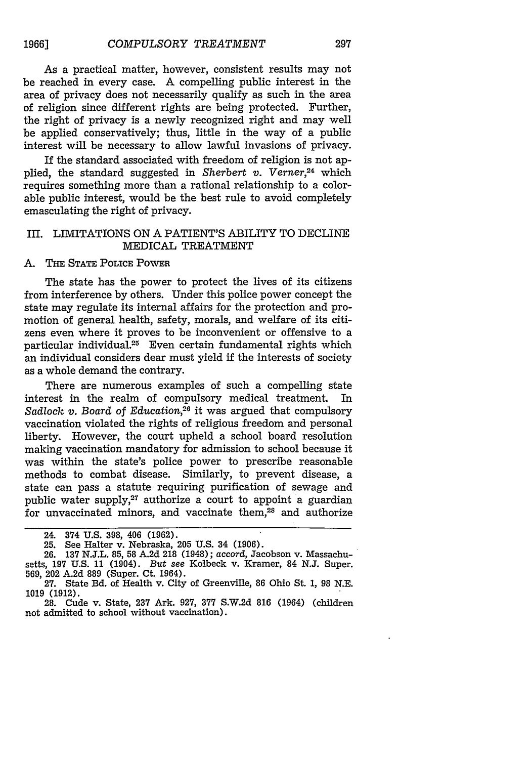As a practical matter, however, consistent results may not be reached in every case. A compelling public interest in the area of privacy does not necessarily qualify as such in the area of religion since different rights are being protected. Further, the right of privacy is a newly recognized right and may well be applied conservatively; thus, little in the way of a public

If the standard associated with freedom of religion is not applied, the standard suggested in *Sherbert v. Verner,24* which requires something more than a rational relationship to a colorable public interest, would be the best rule to avoid completely emasculating the right of privacy.

interest will be necessary to allow lawful invasions of privacy.

#### II. LIMITATIONS ON A PATIENT'S ABILITY TO DECLINE MEDICAL TREATMENT

**A. THE STATE POLICE** POWER

The state has the power to protect the lives of its citizens from interference by others. Under this police power concept the state may regulate its internal affairs for the protection and promotion of general health, safety, morals, and welfare of its citizens even where it proves to be inconvenient or offensive to a particular individual.<sup>25</sup> Even certain fundamental rights which an individual considers dear must yield if the interests of society as a whole demand the contrary.

There are numerous examples of such a compelling state interest in the realm of compulsory medical treatment. *Sadlock v. Board* of *Education,26* it was argued that compulsory vaccination violated the rights of religious freedom and personal liberty. However, the court upheld a school board resolution making vaccination mandatory for admission to school because it was within the state's police power to prescribe reasonable methods to combat disease. Similarly, to prevent disease, a state can pass a statute requiring purification of sewage and public water supply, $27$  authorize a court to appoint a guardian for unvaccinated minors, and vaccinate them,<sup>28</sup> and authorize

<sup>24. 374</sup> U.S. 398, 406 (1962).

<sup>25.</sup> See Halter v. Nebraska, 205 U.S. 34 (1906).

<sup>26. 137</sup> N.J.L. **85,** 58 A.2d 218 (1948); *accord,* Jacobson v. Massachusetts, 197 U.S. 11 (1904). *But* see Kolbeck v. Kramer, 84 N.J. Super. 569, 202 A.2d 889 (Super. Ct. 1964).

<sup>27.</sup> State Bd. of Health v. City of Greenville, 86 Ohio St. 1, 98 N.E. 1019 (1912).

<sup>28.</sup> Cude v. State, 237 Ark. 927, **377** S.W.2d 816 (1964) (children not admitted to school without vaccination).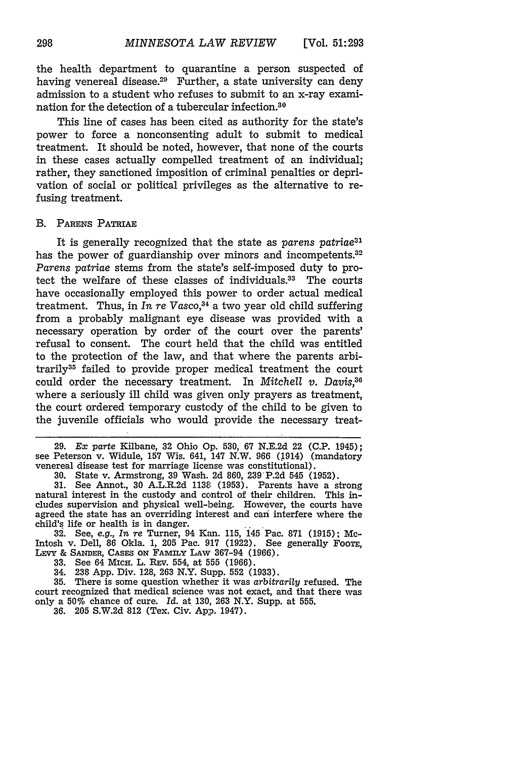the health department to quarantine a person suspected of having venereal disease.<sup>29</sup> Further, a state university can deny admission to a student who refuses to submit to an x-ray examination for the detection of a tubercular infection.<sup>30</sup>

This line of cases has been cited as authority for the state's power to force a nonconsenting adult to submit to medical treatment. It should be noted, however, that none of the courts in these cases actually compelled treatment of an individual; rather, they sanctioned imposition of criminal penalties or deprivation of social or political privileges as the alternative to refusing treatment.

#### B. PARENS PATRIAE

It is generally recognized that the state as *parens patriae3l* has the power of guardianship over minors and incompetents.<sup>32</sup> *Parens patriae* stems from the state's self-imposed duty to protect the welfare of these classes of individuals.<sup>33</sup> The courts have occasionally employed this power to order actual medical treatment. Thus, in *In re Vasco,34* a two year old child suffering from a probably malignant eye disease was provided with a necessary operation by order of the court over the parents' refusal to consent. The court held that the child was entitled to the protection of the law, and that where the parents arbitrarily35 failed to provide proper medical treatment the court could order the necessary treatment. In *Mitchell v. Davis,36* where a seriously ill child was given only prayers as treatment, the court ordered temporary custody of the child to be given to the juvenile officials who would provide the necessary treat-

**29.** *Ex* parte Kilbane, 32 Ohio Op. 530, 67 N.E.2d 22 (C.P. 1945); see Peterson v. Widule, 157 Wis. 641, 147 N.W. 966 (1914) (mandatory venereal disease test for marriage license was constitutional).

30. State v. Armstrong, 39 Wash. 2d 860, 239'P.2d 545 (1952).

31. See Annot., 30 A.L.R.2d 1138 (1953). Parents have a strong natural interest in the custody and control of their children. This innatural interest in the custody and control of their children. This includes supervision and physical well-being. However, the courts have agreed the state has an overriding interest and can interfere where the child's life or health is in danger.

32. See, *e.g., In re* Turner, 94 Kan. 115, 145 Pac. 871 (1915); Mc-Intosh v. Dell, 86 Okla. 1, 205 Pac. 917 (1922). See generally Foore, LEvY & SANDER, CASES ON **FAMILY** LAW 367-94 (1966).

**33.** See 64 MicE. L. REV. 554, at **555** (1966).

34. 238 App. Div. 128, 263 N.Y. Supp. 552 (1933). **35.** There is some question whether it was *arbitrarily* refused. The court recognized that medical science was not exact, and that there was only a **50%** chance of cure. *Id.* at 130, 263 N.Y. Supp. at 555.

**36.** 205 S.W.2d 812 (Tex. Civ. App. 1947).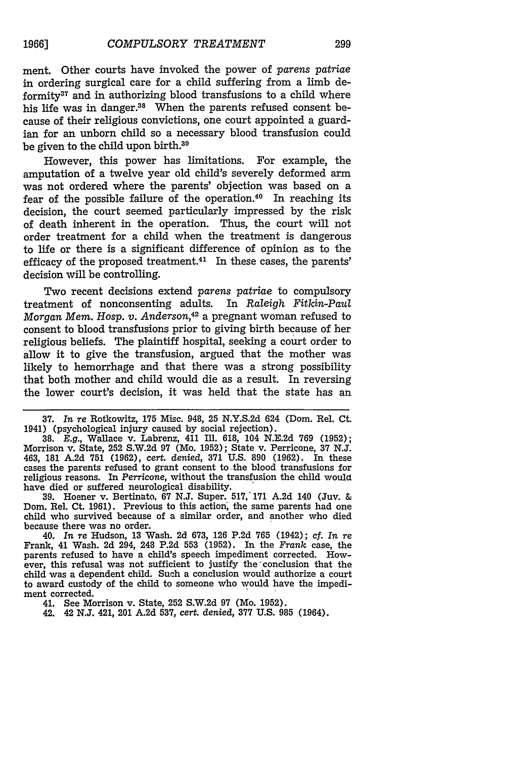ment. Other courts have invoked the power of *parens patriae* in ordering surgical care for a child suffering from a limb deformity37 and in authorizing blood transfusions to a child where his life was in danger.<sup>38</sup> When the parents refused consent because of their religious convictions, one court appointed a guardian for an unborn child so a necessary blood transfusion could be given to the child upon birth.39

However, this power has limitations. For example, the amputation of a twelve year old child's severely deformed arm was not ordered where the parents' objection was based on a fear of the possible failure of the operation. $40$  In reaching its decision, the court seemed particularly impressed by the risk of death inherent in the operation. Thus, the court will not order treatment for a child when the treatment is dangerous to life or there is a significant difference of opinion as to the efficacy of the proposed treatment. $41$  In these cases, the parents' decision will be controlling.

Two recent decisions extend *parens patriae* to compulsory<br>tment of nonconsenting adults. In Raleigh Fitkin-Paul treatment of nonconsenting adults. *Morgan Mem. Hosp. v. Anderson,42* a pregnant woman refused to consent to blood transfusions prior to giving birth because of her religious beliefs. The plaintiff hospital, seeking a court order to allow it to give the transfusion, argued that the mother was likely to hemorrhage and that there was a strong possibility that both mother and child would die as a result. In reversing the lower court's decision, it was held that the state has an

38. E.g., Wallace v. Labrenz, 411 Ill. 618, 104 N.E.2d 769 (1952); Morrison v. State, 252 S.W.2d 97 (Mo. 1952); State v. Perricone, **37** N.J. 463, 181 A.2d 751 (1962), cert. *denied,* **371 U.S. 890 (1962).** In these cases the parents refused to grant consent to-the blood transfusions for religious reasons. In *Perricone,* without the transfusion the child wouilc have died or suffered neurological disability.

39. Hoener v. Bertinato. 67 N.J. Super. **517, 171** A.2d 140 (Juv. & Dom. Rel. Ct. 1961). Previous to this action, the same parents had one child who survived because of a similar order, and another who died because there was no order.

40. *In re* Hudson, 13 Wash. 2d 673, 126 P.2d 765 (1942); cf. *In re* Frank, 41 Wash. 2d 294, 248 P.2d 553 (1952). In the *Frank* case, the parents refused to have a child's speech impediment corrected. However, this refusal was not sufficient to justify the conclusion that the child was a dependent child. Such a conclusion would authorize a court to award custody of the child to someone who would have the impediment corrected.

41. See Morrison v. State, 252 S.W.2d **97** (Mo. 1952).

42. 42 **N.J.** 421, 201 A.2d 537, cert. *denied,* **377** U.S. **985** (1964).

<sup>37.</sup> *In re* Rotkowitz, **175** Misc. 948, **25** N.Y.S.2d 624 (Dom. Rel. Ct. 1941) (psychological injury caused by social rejection).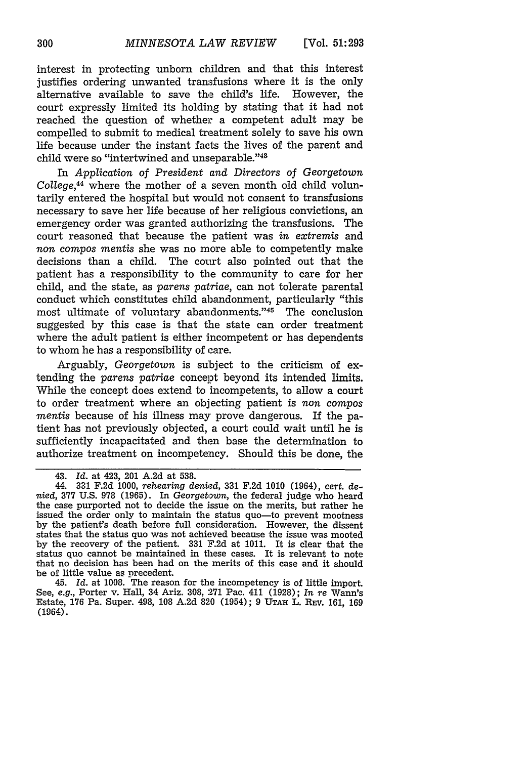interest in protecting unborn children and that this interest justifies ordering unwanted transfusions where it is the only alternative available to save the child's life. However, the court expressly limited its holding by stating that it had not reached the question of whether a competent adult may be compelled to submit to medical treatment solely to save his own life because under the instant facts the lives of the parent and child were so "intertwined and unseparable."<sup>43</sup>

In Application of President and Directors of Georgetown *College,44* where the mother of a seven month old child voluntarily entered the hospital but would not consent to transfusions necessary to save her life because of her religious convictions, an emergency order was granted authorizing the transfusions. The court reasoned that because the patient was *in extremis* and *non compos mentis* she was no more able to competently make decisions than a child. The court also pointed out that the patient has a responsibility to the community to care for her child, and the state, as *parens patriae,* can not tolerate parental conduct which constitutes child abandonment, particularly "this most ultimate of voluntary abandonments." $45$  The conclusion suggested by this case is that the state can order treatment where the adult patient is either incompetent or has dependents to whom he has a responsibility of care.

Arguably, *Georgetown* is subject to the criticism of extending the *parens patriae* concept beyond its intended limits. While the concept does extend to incompetents, to allow a court to order treatment where an objecting patient is *non* compos *mentis* because of his illness may prove dangerous. If the patient has not previously objected, a court could wait until he is sufficiently incapacitated and then base the determination to authorize treatment on incompetency. Should this be done, the

<sup>43.</sup> *Id.* at 423, 201 A.2d at 538.

<sup>44.</sup> **331** F.2d **1000,** *rehearing denied,* **331** F.2d **1010** (1964), cert. *denied,* **377** U.S. **978** (1965). In *Georgetown,* the federal judge who heard the case purported not to decide the issue on the merits, but rather he issued the order only to maintain the status quo—to prevent mootness by the patient's death before full consideration. However, the dissent states that the status quo was not achieved because the issue was mooted by the recovery of the patient. 331 F.2d at **1011.** It is clear that the status quo cannot be maintained in these cases. It is relevant to note that no decision has been had on the merits of this case and it should be of little value as precedent.

<sup>45.</sup> *Id.* at 1008. The reason for the incompetency is of little import. See, *e.g.,* Porter v. Hall, 34 Ariz. 308, **271** Pac. 411 (1928); *In re* Wann's Estate, **176** Pa. Super. 498, 108 A.2d 820 (1954); 9 **UTAH** L. **REV.** 161, 169 (1964).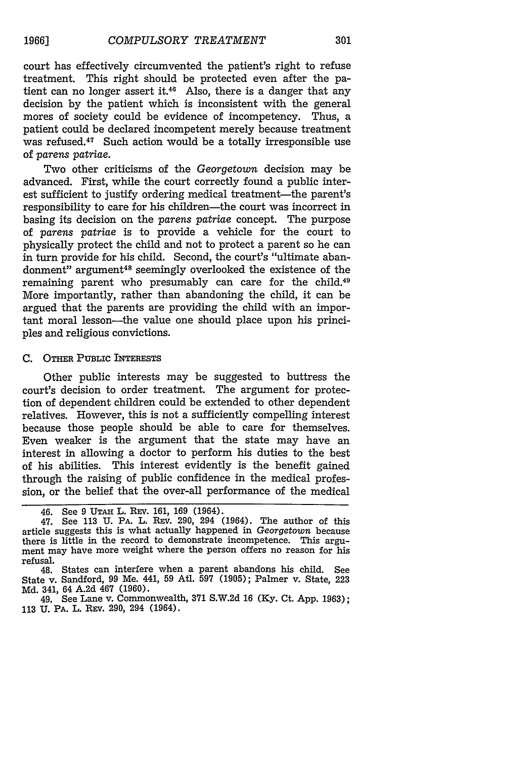court has effectively circumvented the patient's right to refuse treatment. This right should be protected even after the patient can no longer assert it.<sup>46</sup> Also, there is a danger that any decision by the patient which is inconsistent with the general mores of society could be evidence of incompetency. Thus, a patient could be declared incompetent merely because treatment was refused.<sup>47</sup> Such action would be a totally irresponsible use of *parens patriae.*

Two other criticisms of the *Georgetown* decision may be advanced. First, while the court correctly found a public interest sufficient to justify ordering medical treatment—the parent's responsibility to care for his children-the court was incorrect in basing its decision on the *parens patriae* concept. The purpose of *parens patriae* is to provide a vehicle for the court to physically protect the child and not to protect a parent so he can in turn provide for his child. Second, the court's "ultimate abandonment" argument<sup>48</sup> seemingly overlooked the existence of the remaining parent who presumably can care for the child.<sup>49</sup> More importantly, rather than abandoning the child, it can be argued that the parents are providing the child with an important moral lesson-the value one should place upon his principles and religious convictions.

#### C. OTHER PUBLIC INTERESTS

Other public interests may be suggested to buttress the court's decision to order treatment. The argument for protection of dependent children could be extended to other dependent relatives. However, this is not a sufficiently compelling interest because those people should be able to care for themselves. Even weaker is the argument that the state may have an interest in allowing a doctor to perform his duties to the best of his abilities. This interest evidently is the benefit gained through the raising of public confidence in the medical profession, or the belief that the over-all performance of the medical

<sup>46.</sup> See 9 **UTAH** L. REv. 161, 169 (1964).

<sup>47.</sup> See 113 U. PA. L. **REV.** 290, 294 (1964). The author of this article suggests this is what actually happened in *Georgetown* because there is little in the record to demonstrate incompetence. This argument may have more weight where the person offers no reason for his refusal.

<sup>48.</sup> States can interfere when a parent abandons his child. See State v. Sandford, 99 Me. 441, **59** AUt. **597** (1905); Palmer v. State, **223 Md.** 341, 64 **A.2d** 467 (1960).

<sup>49.</sup> See Lane v. Commonwealth, 371 S.W.2d 16 (Ky. Ct. App. 1963); **113** U. PA. L. REv. 290, 294 (1964).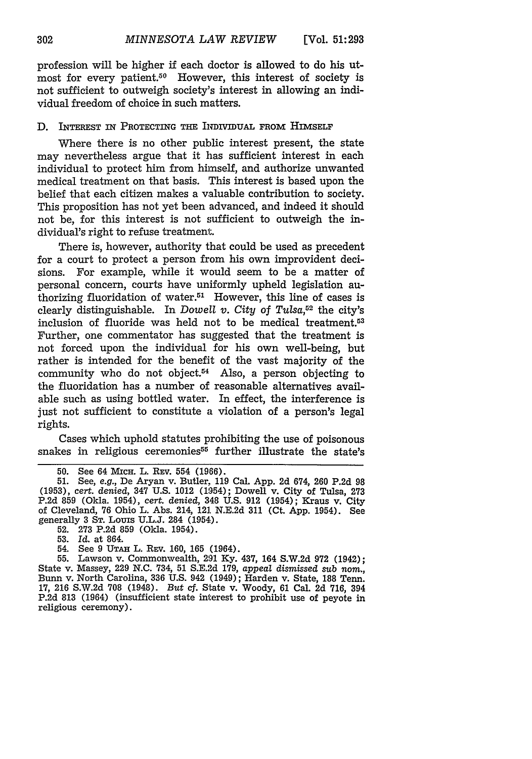profession will be higher if each doctor is allowed to do his utmost for every patient.<sup>50</sup> However, this interest of society is not sufficient to outweigh society's interest in allowing an individual freedom of choice in such matters.

#### D. INTEREST IN PROTECTING THE INDIVIDUAL FROM HIMSELF

Where there is no other public interest present, the state may nevertheless argue that it has sufficient interest in each individual to protect him from himself, and authorize unwanted medical treatment on that basis. This interest is based upon the belief that each citizen makes a valuable contribution to society. This proposition has not yet been advanced, and indeed it should not be, for this interest is not sufficient to outweigh the individual's right to refuse treatment.

There is, however, authority that could be used as precedent for a court to protect a person from his own improvident decisions. For example, while it would seem to be a matter of personal concern, courts have uniformly upheld legislation authorizing fluoridation of water. $51$  However, this line of cases is clearly distinguishable. In *Dowell v. City of Tulsa*,<sup>52</sup> the city's inclusion of fluoride was held not to be medical treatment.<sup>53</sup> Further, one commentator has suggested that the treatment is not forced upon the individual for his own well-being, but rather is intended for the benefit of the vast majority of the community who do not object. $54$  Also, a person objecting to the fluoridation has a number of reasonable alternatives available such as using bottled water. In effect, the interference is just not sufficient to constitute a violation of a person's legal rights.

Cases which uphold statutes prohibiting the use of poisonous snakes in religious ceremonies<sup>55</sup> further illustrate the state's

52. 273 P.2d 859 (Okla. 1954).

54. See 9 **UTAH** L. REV. 160, 165 (1964).

**<sup>50.</sup>** See 64 MICH. L. **REV.** 554 (1966).

<sup>51.</sup> See, e.g., De Aryan v. Butler, 119 Cal. App. 2d 674, 260 P.2d 98 (1953), cert. *denied,* 347 U.S. 1012 (1954); Dowell v. City of Tulsa, 273 P.2d 859 (Okla. 1954), cert. *denied,* 348 U.S. 912 (1954); Kraus v. City of Cleveland, 76 Ohio L. Abs. 214, 121 N.E.2d 311 (Ct. App. 1954). See generally 3 **ST.** Louis U.L.J. 284 (1954).

<sup>53.</sup> *Id.* at 864.

<sup>55.</sup> Lawson v. Commonwealth, 291 Ky. 437, 164 S.W.2d 972 (1942); State v. Massey, 229 N.C. 734, 51 S.E.2d 179, appeal *dismissed sub nom.,* Bunn v. North Carolina, 336 **U.S.** 942 (1949); Harden v. State, 188 Tenn. 17, 216 S.W.2d 708 (1948). *But* cf. State v. Woody, 61 Cal. 2d 716, 394 P.2d 813 (1964) (insufficient state interest to prohibit use of peyote in religious ceremony).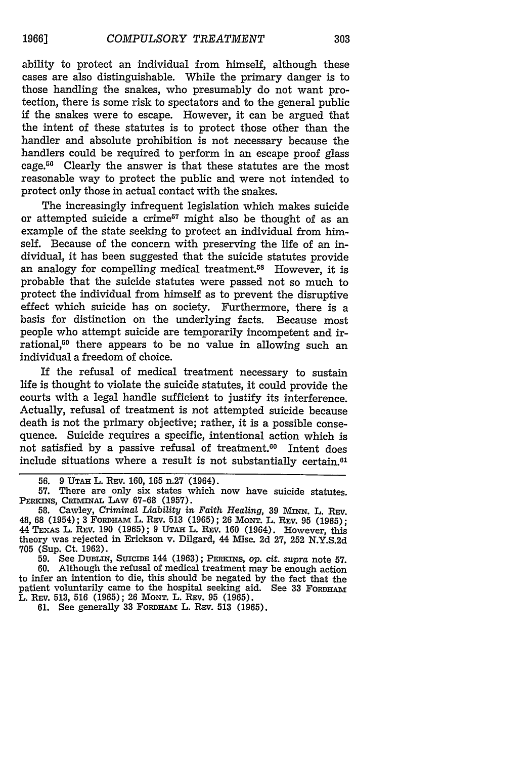303

ability to protect an individual from himself, although these cases are also distinguishable. While the primary danger is to those handling the snakes, who presumably do not want protection, there is some risk to spectators and to the general public if the snakes were to escape. However, it can be argued that the intent of these statutes is to protect those other than the handler and absolute prohibition is not necessary because the handlers could be required to perform in an escape proof glass cage.<sup>56</sup> Clearly the answer is that these statutes are the most reasonable way to protect the public and were not intended to protect only those in actual contact with the snakes.

The increasingly infrequent legislation which makes suicide or attempted suicide a crime<sup> $57$ </sup> might also be thought of as an example of the state seeking to protect an individual from himself. Because of the concern with preserving the life of an individual, it has been suggested that the suicide statutes provide an analogy for compelling medical treatment.<sup>58</sup> However, it is probable that the suicide statutes were passed not so much to protect the individual from himself as to prevent the disruptive effect which suicide has on society. Furthermore, there is a basis for distinction on the underlying facts. Because most people who attempt suicide are temporarily incompetent and irrational, $59$  there appears to be no value in allowing such an individual a freedom of choice.

If the refusal of medical treatment necessary to sustain life is thought to violate the suicide statutes, it could provide the courts with a legal handle sufficient to justify its interference. Actually, refusal of treatment is not attempted suicide because death is not the primary objective; rather, it is a possible consequence. Suicide requires a specific, intentional action which is not satisfied by a passive refusal of treatment.<sup>60</sup> Intent does include situations where a result is not substantially certain. $61$ 

59. See DUBLIN, SUICIDE 144 (1963); PERKINS, op. *cit. supra* note 57. 60. Although the refusal of medical treatment may be enough action to infer an intention to die, this should be negated by the fact that the patient voluntarily came to the hospital seeking aid. See 33 FORDHAM L. REV. 513, 516 (1965); 26 MONT. L. REV. 95 (1965).

61. See generally 33 **FORDHAm** L. REV. 513 (1965).

<sup>56. 9</sup> **UTAH** L. REv. 160, 165 n.27 (1964).

There are only six states which now have suicide statutes. PERKINS, CRIMINAL LAW 67-68 (1957).

<sup>58.</sup> Cawley, *Criminal Liability in Faith Healing*, 39 MINN, L. REV. 48, 68 (1954); 3 FoRDEAm L. REV. 513 (1965); 26 MONT. L. REV. 95 (1965); 44 TEXAS L. REv. 190 (1965); 9 UTAH L. REV. 160 (1964). However, this theory was rejected in Erickson v. Dilgard, 44 Misc. 2d 27, 252 N.Y.S.2d 705 (Sup. Ct. 1962).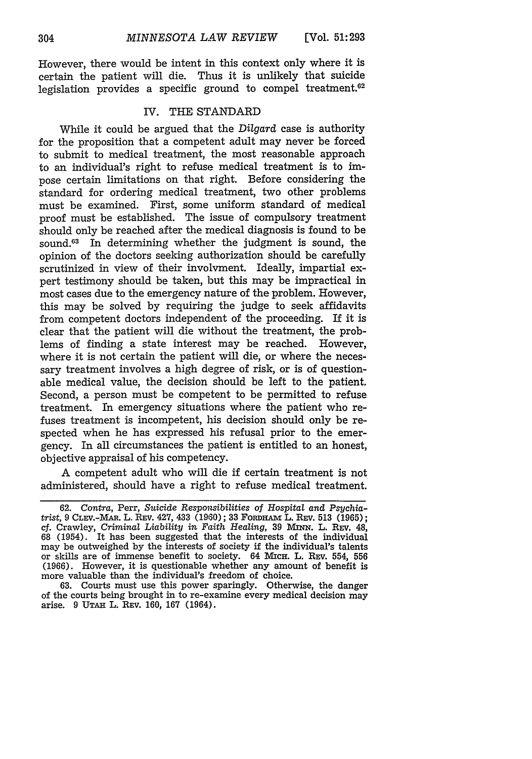However, there would be intent in this context only where it is certain the patient will die. Thus it is unlikely that suicide legislation provides a specific ground to compel treatment. $62$ 

## IV. THE STANDARD

While it could be argued that the *Dilgard* case is authority for the proposition that a competent adult may never be forced to submit to medical treatment, the most reasonable approach to an individual's right to refuse medical treatment is to impose certain limitations on that right. Before considering the standard for ordering medical treatment, two other problems must be examined. First, some uniform standard of medical proof must be established. The issue of compulsory treatment should only be reached after the medical diagnosis is found to be sound.<sup>63</sup> In determining whether the judgment is sound, the opinion of the doctors seeking authorization should be carefully scrutinized in view of their involvment. Ideally, impartial expert testimony should be taken, but this may be impractical in most cases due to the emergency nature of the problem. However, this may be solved by requiring the judge to seek affidavits from competent doctors independent of the proceeding. If it is clear that the patient will die without the treatment, the problems of finding a state interest may be reached. However, where it is not certain the patient will die, or where the necessary treatment involves a high degree of risk, or is of questionable medical value, the decision should be left to the patient. Second, a person must be competent to be permitted to refuse treatment. In emergency situations where the patient who refuses treatment is incompetent, his decision should only be respected when he has expressed his refusal prior to the emergency. In all circumstances the patient is entitled to an honest, objective appraisal of his competency.

A competent adult who will die if certain treatment is not administered, should have a right to refuse medical treatment.

<sup>62.</sup> *Contra,* Perr, Suicide *Responsibilities of Hospital and Psychiatrist,* 9 CLEV.-MAR. L. REv. 427, 433 (1960); 33 FoRDAM L. REV. 513 (1965); cf. Crawley, *Criminal Liability in Faith Healing*, 39 MINN. L. REV. 48, 68 (1954). It has been suggested that the interests of the individual may be outweighed by the interests of society if the individual's talents or skills are of immense benefit to society. 64 **McH.** L. REv. 554, 556 (1966). However, it is questionable whether any amount of benefit is more valuable than the individual's freedom of choice.

<sup>63.</sup> Courts must use this power sparingly. Otherwise, the danger of the courts being brought in to re-examine every medical decision may arise. 9 UTAH L. **REv.** 160, 167 (1964).